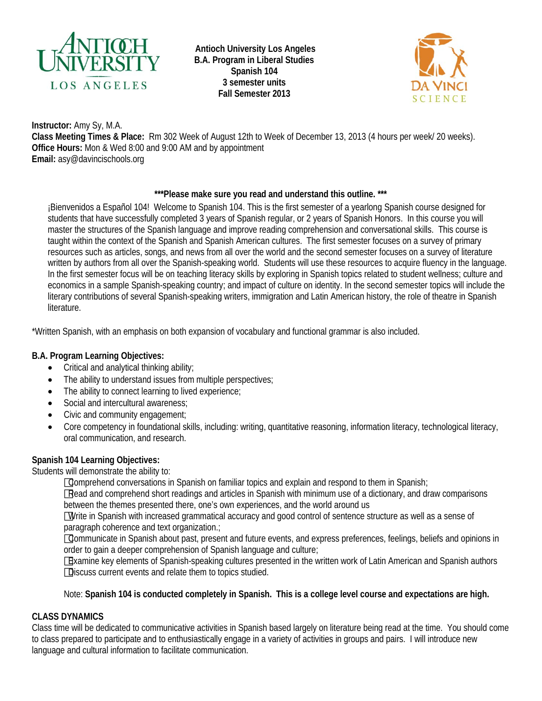

**Antioch University Los Angeles B.A. Program in Liberal Studies Spanish 104 3 semester units Fall Semester 2013**



**Instructor:** Amy Sy, M.A. **Class Meeting Times & Place:** Rm 302 Week of August 12th to Week of December 13, 2013 (4 hours per week/ 20 weeks). **Office Hours:** Mon & Wed 8:00 and 9:00 AM and by appointment **Email:** asy@davincischools.org

## **\*\*\*Please make sure you read and understand this outline. \*\*\***

¡Bienvenidos a Español 104! Welcome to Spanish 104. This is the first semester of a yearlong Spanish course designed for students that have successfully completed 3 years of Spanish regular, or 2 years of Spanish Honors. In this course you will master the structures of the Spanish language and improve reading comprehension and conversational skills. This course is taught within the context of the Spanish and Spanish American cultures. The first semester focuses on a survey of primary resources such as articles, songs, and news from all over the world and the second semester focuses on a survey of literature written by authors from all over the Spanish-speaking world. Students will use these resources to acquire fluency in the language. In the first semester focus will be on teaching literacy skills by exploring in Spanish topics related to student wellness; culture and economics in a sample Spanish-speaking country; and impact of culture on identity. In the second semester topics will include the literary contributions of several Spanish-speaking writers, immigration and Latin American history, the role of theatre in Spanish literature.

\*Written Spanish, with an emphasis on both expansion of vocabulary and functional grammar is also included.

# **B.A. Program Learning Objectives:**

- Critical and analytical thinking ability;
- The ability to understand issues from multiple perspectives;
- The ability to connect learning to lived experience;
- Social and intercultural awareness;
- Civic and community engagement;
- Core competency in foundational skills, including: writing, quantitative reasoning, information literacy, technological literacy, oral communication, and research.

# **Spanish 104 Learning Objectives:**

Students will demonstrate the ability to:

Comprehend conversations in Spanish on familiar topics and explain and respond to them in Spanish;

Read and comprehend short readings and articles in Spanish with minimum use of a dictionary, and draw comparisons between the themes presented there, one's own experiences, and the world around us

Write in Spanish with increased grammatical accuracy and good control of sentence structure as well as a sense of paragraph coherence and text organization.;

Communicate in Spanish about past, present and future events, and express preferences, feelings, beliefs and opinions in order to gain a deeper comprehension of Spanish language and culture;

Examine key elements of Spanish-speaking cultures presented in the written work of Latin American and Spanish authors Discuss current events and relate them to topics studied.

# Note: **Spanish 104 is conducted completely in Spanish. This is a college level course and expectations are high.**

# **CLASS DYNAMICS**

Class time will be dedicated to communicative activities in Spanish based largely on literature being read at the time. You should come to class prepared to participate and to enthusiastically engage in a variety of activities in groups and pairs. I will introduce new language and cultural information to facilitate communication.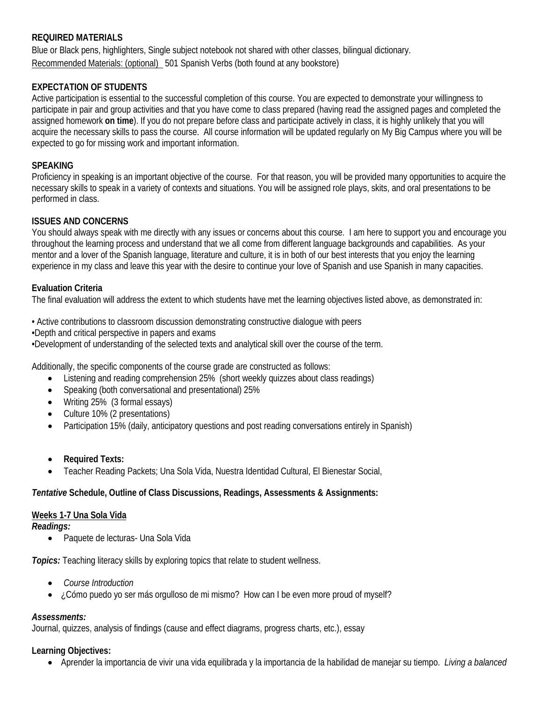#### **REQUIRED MATERIALS**

Blue or Black pens, highlighters, Single subject notebook not shared with other classes, bilingual dictionary. Recommended Materials: (optional) 501 Spanish Verbs (both found at any bookstore)

## **EXPECTATION OF STUDENTS**

Active participation is essential to the successful completion of this course. You are expected to demonstrate your willingness to participate in pair and group activities and that you have come to class prepared (having read the assigned pages and completed the assigned homework **on time**). If you do not prepare before class and participate actively in class, it is highly unlikely that you will acquire the necessary skills to pass the course. All course information will be updated regularly on My Big Campus where you will be expected to go for missing work and important information.

#### **SPEAKING**

Proficiency in speaking is an important objective of the course. For that reason, you will be provided many opportunities to acquire the necessary skills to speak in a variety of contexts and situations. You will be assigned role plays, skits, and oral presentations to be performed in class.

#### **ISSUES AND CONCERNS**

You should always speak with me directly with any issues or concerns about this course. I am here to support you and encourage you throughout the learning process and understand that we all come from different language backgrounds and capabilities. As your mentor and a lover of the Spanish language, literature and culture, it is in both of our best interests that you enjoy the learning experience in my class and leave this year with the desire to continue your love of Spanish and use Spanish in many capacities.

#### **Evaluation Criteria**

The final evaluation will address the extent to which students have met the learning objectives listed above, as demonstrated in:

- Active contributions to classroom discussion demonstrating constructive dialogue with peers
- •Depth and critical perspective in papers and exams

•Development of understanding of the selected texts and analytical skill over the course of the term.

Additionally, the specific components of the course grade are constructed as follows:

- Listening and reading comprehension 25% (short weekly quizzes about class readings)
- Speaking (both conversational and presentational) 25%
- Writing 25% (3 formal essays)
- Culture 10% (2 presentations)
- Participation 15% (daily, anticipatory questions and post reading conversations entirely in Spanish)
- **Required Texts:**
- Teacher Reading Packets; Una Sola Vida, Nuestra Identidad Cultural, El Bienestar Social,

#### *Tentative* **Schedule, Outline of Class Discussions, Readings, Assessments & Assignments:**

#### **Weeks 1-7 Una Sola Vida**

#### *Readings:*

• Paquete de lecturas- Una Sola Vida

*Topics:* Teaching literacy skills by exploring topics that relate to student wellness.

- *Course Introduction*
- ¿Cómo puedo yo ser más orgulloso de mi mismo? How can I be even more proud of myself?

# *Assessments:*

Journal, quizzes, analysis of findings (cause and effect diagrams, progress charts, etc.), essay

# **Learning Objectives:**

• Aprender la importancia de vivir una vida equilibrada y la importancia de la habilidad de manejar su tiempo. *Living a balanced*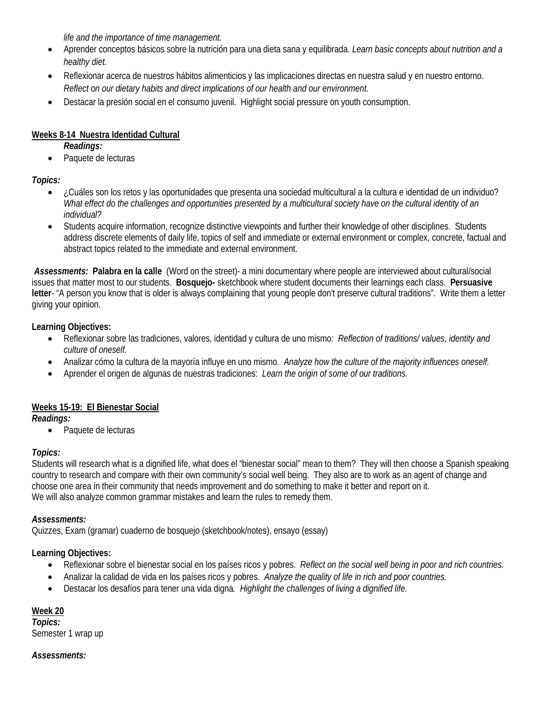*life and the importance of time management.*

- Aprender conceptos básicos sobre la nutrición para una dieta sana y equilibrada. *Learn basic concepts about nutrition and a healthy diet.*
- Reflexionar acerca de nuestros hábitos alimenticios y las implicaciones directas en nuestra salud y en nuestro entorno. *Reflect on our dietary habits and direct implications of our health and our environment.*
- Destacar la presión social en el consumo juvenil. Highlight social pressure on youth consumption.

# **Weeks 8-14 Nuestra Identidad Cultural**

*Readings:*

Paquete de lecturas

# *Topics:*

- ¿Cuáles son los retos y las oportunidades que presenta una sociedad multicultural a la cultura e identidad de un individuo? *What effect do the challenges and opportunities presented by a multicultural society have on the cultural identity of an individual?*
- Students acquire information, recognize distinctive viewpoints and further their knowledge of other disciplines. Students address discrete elements of daily life, topics of self and immediate or external environment or complex, concrete, factual and abstract topics related to the immediate and external environment.

*Assessments:* **Palabra en la calle** (Word on the street)- a mini documentary where people are interviewed about cultural/social issues that matter most to our students. **Bosquejo-** sketchbook where student documents their learnings each class. **Persuasive letter**- "A person you know that is older is always complaining that young people don't preserve cultural traditions". Write them a letter giving your opinion.

**Learning Objectives:** 

- Reflexionar sobre las tradiciones, valores, identidad y cultura de uno mismo*: Reflection of traditions/ values, identity and culture of oneself.*
- Analizar cómo la cultura de la mayoría influye en uno mismo*. Analyze how the culture of the majority influences oneself.*
- Aprender el origen de algunas de nuestras tradiciones: *Learn the origin of some of our traditions.*

#### **Weeks 15-19: El Bienestar Social**

*Readings:*

• Paquete de lecturas

# *Topics:*

Students will research what is a dignified life, what does el "bienestar social" mean to them? They will then choose a Spanish speaking country to research and compare with their own community's social well being. They also are to work as an agent of change and choose one area in their community that needs improvement and do something to make it better and report on it. We will also analyze common grammar mistakes and learn the rules to remedy them.

#### *Assessments:*

Quizzes, Exam (gramar) cuaderno de bosquejo (sketchbook/notes), ensayo (essay)

# **Learning Objectives:**

- Reflexionar sobre el bienestar social en los países ricos y pobres. *Reflect on the social well being in poor and rich countries.*
- Analizar la calidad de vida en los países ricos y pobres. *Analyze the quality of life in rich and poor countries.*
- Destacar los desafíos para tener una vida digna*. Highlight the challenges of living a dignified life.*

# **Week 20**

*Topics:* Semester 1 wrap up

# *Assessments:*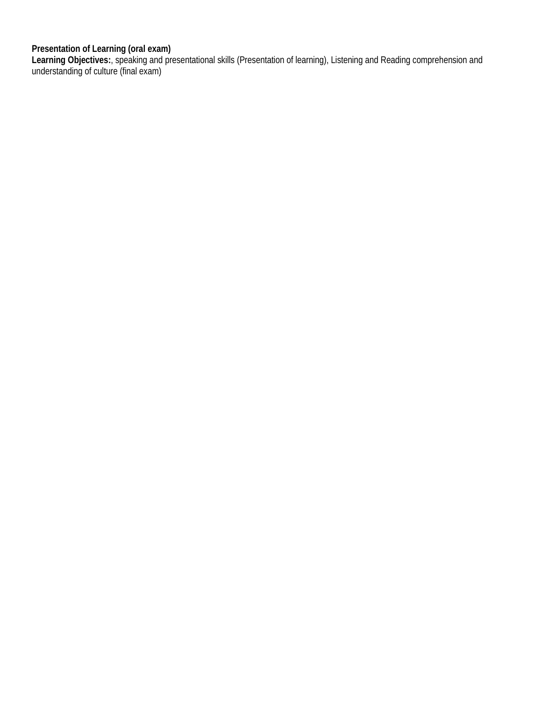#### **Presentation of Learning (oral exam)**

**Learning Objectives:**, speaking and presentational skills (Presentation of learning), Listening and Reading comprehension and understanding of culture (final exam)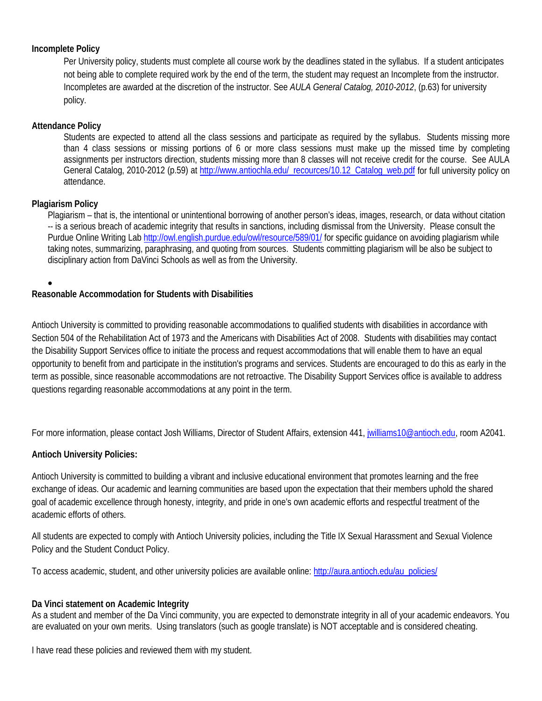#### **Incomplete Policy**

Per University policy, students must complete all course work by the deadlines stated in the syllabus. If a student anticipates not being able to complete required work by the end of the term, the student may request an Incomplete from the instructor. Incompletes are awarded at the discretion of the instructor. See *AULA General Catalog, 2010-2012*, (p.63) for university policy.

## **Attendance Policy**

Students are expected to attend all the class sessions and participate as required by the syllabus. Students missing more than 4 class sessions or missing portions of 6 or more class sessions must make up the missed time by completing assignments per instructors direction, students missing more than 8 classes will not receive credit for the course. See AULA General Catalog, 2010-2012 (p.59) a[t http://www.antiochla.edu/\\_recources/10.12\\_Catalog\\_web.pdf](http://www.antiochla.edu/_recources/10.12_Catalog_web.pdf) for full university policy on attendance.

## **Plagiarism Policy**

Plagiarism – that is, the intentional or unintentional borrowing of another person's ideas, images, research, or data without citation -- is a serious breach of academic integrity that results in sanctions, including dismissal from the University. Please consult the Purdue Online Writing Lab<http://owl.english.purdue.edu/owl/resource/589/01/> for specific guidance on avoiding plagiarism while taking notes, summarizing, paraphrasing, and quoting from sources. Students committing plagiarism will be also be subject to disciplinary action from DaVinci Schools as well as from the University.

## •

# **Reasonable Accommodation for Students with Disabilities**

Antioch University is committed to providing reasonable accommodations to qualified students with disabilities in accordance with Section 504 of the Rehabilitation Act of 1973 and the Americans with Disabilities Act of 2008. Students with disabilities may contact the Disability Support Services office to initiate the process and request accommodations that will enable them to have an equal opportunity to benefit from and participate in the institution's programs and services. Students are encouraged to do this as early in the term as possible, since reasonable accommodations are not retroactive. The Disability Support Services office is available to address questions regarding reasonable accommodations at any point in the term.

For more information, please contact Josh Williams, Director of Student Affairs, extension 441, [jwilliams10@antioch.edu,](mailto:jwilliams10@antioch.edu) room A2041.

# **Antioch University Policies:**

Antioch University is committed to building a vibrant and inclusive educational environment that promotes learning and the free exchange of ideas. Our academic and learning communities are based upon the expectation that their members uphold the shared goal of academic excellence through honesty, integrity, and pride in one's own academic efforts and respectful treatment of the academic efforts of others.

All students are expected to comply with Antioch University policies, including the Title IX Sexual Harassment and Sexual Violence Policy and the Student Conduct Policy.

To access academic, student, and other university policies are available online: [http://aura.antioch.edu/au\\_policies/](http://aura.antioch.edu/au_policies/)

#### **Da Vinci statement on Academic Integrity**

As a student and member of the Da Vinci community, you are expected to demonstrate integrity in all of your academic endeavors. You are evaluated on your own merits. Using translators (such as google translate) is NOT acceptable and is considered cheating.

I have read these policies and reviewed them with my student.